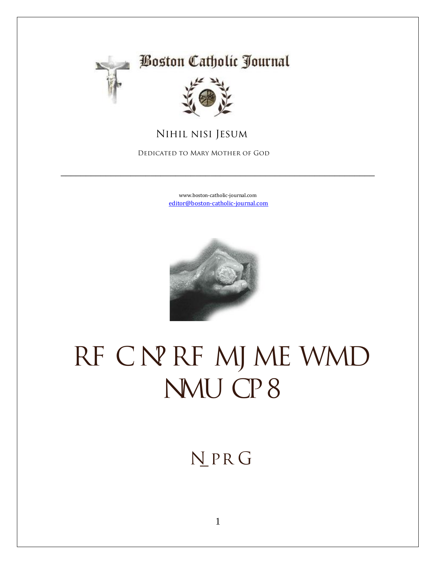

### **Boston Catholic Journal**



#### **Nihil nisi Jesum**

 **Dedicated to Mary Mother of God**

[www.boston-catholic-journal.com](http://www.boston-catholic-journal.com/) [editor@boston-catholic-journal.com](mailto:editor@boston-catholic-journal.com)

\_\_\_\_\_\_\_\_\_\_\_\_\_\_\_\_\_\_\_\_\_\_\_\_\_\_\_\_\_\_\_\_\_\_\_\_\_\_\_\_\_\_\_\_\_\_\_\_\_\_\_\_\_\_\_\_\_\_\_\_\_\_\_



# RF CNPRF MJ ME WMD **NMU CP8**

## **N** PRG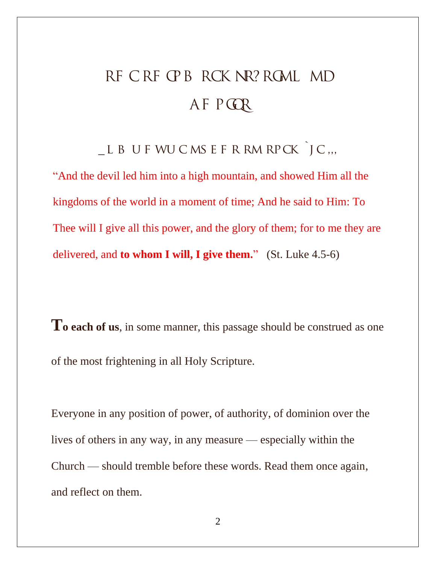# RF CRF CPB RCK NR? RGML MD AF P**GR**

 $-L$  B U F WU C MS E F R RM RP CK  $J$  C ...

"And the devil led him into a high mountain, and showed Him all the kingdoms of the world in a moment of time; And he said to Him: To Thee will I give all this power, and the glory of them; for to me they are delivered, and **to whom I will, I give them.**" (St. Luke 4.5-6)

**T<sup>o</sup> each of us**, in some manner, this passage should be construed as one of the most frightening in all Holy Scripture.

Everyone in any position of power, of authority, of dominion over the lives of others in any way, in any measure — especially within the Church — should tremble before these words. Read them once again, and reflect on them.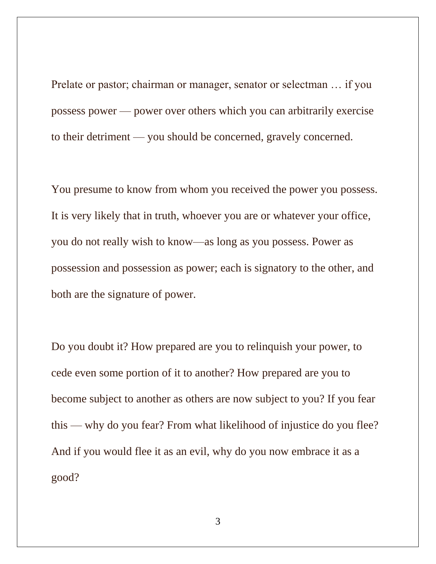Prelate or pastor; chairman or manager, senator or selectman … if you possess power — power over others which you can arbitrarily exercise to their detriment — you should be concerned, gravely concerned.

You presume to know from whom you received the power you possess. It is very likely that in truth, whoever you are or whatever your office, you do not really wish to know—as long as you possess. Power as possession and possession as power; each is signatory to the other, and both are the signature of power.

Do you doubt it? How prepared are you to relinquish your power, to cede even some portion of it to another? How prepared are you to become subject to another as others are now subject to you? If you fear this — why do you fear? From what likelihood of injustice do you flee? And if you would flee it as an evil, why do you now embrace it as a good?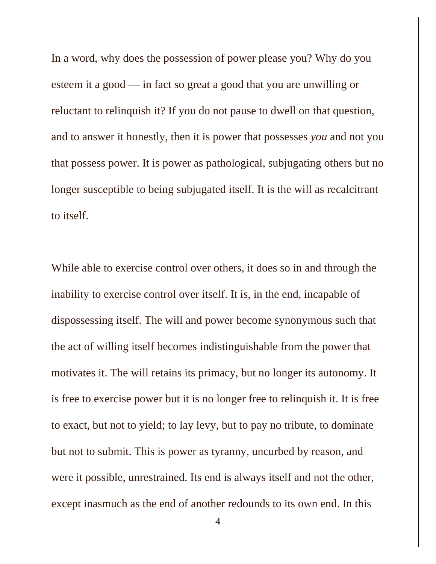In a word, why does the possession of power please you? Why do you esteem it a good — in fact so great a good that you are unwilling or reluctant to relinquish it? If you do not pause to dwell on that question, and to answer it honestly, then it is power that possesses *you* and not you that possess power. It is power as pathological, subjugating others but no longer susceptible to being subjugated itself. It is the will as recalcitrant to itself.

While able to exercise control over others, it does so in and through the inability to exercise control over itself. It is, in the end, incapable of dispossessing itself. The will and power become synonymous such that the act of willing itself becomes indistinguishable from the power that motivates it. The will retains its primacy, but no longer its autonomy. It is free to exercise power but it is no longer free to relinquish it. It is free to exact, but not to yield; to lay levy, but to pay no tribute, to dominate but not to submit. This is power as tyranny, uncurbed by reason, and were it possible, unrestrained. Its end is always itself and not the other, except inasmuch as the end of another redounds to its own end. In this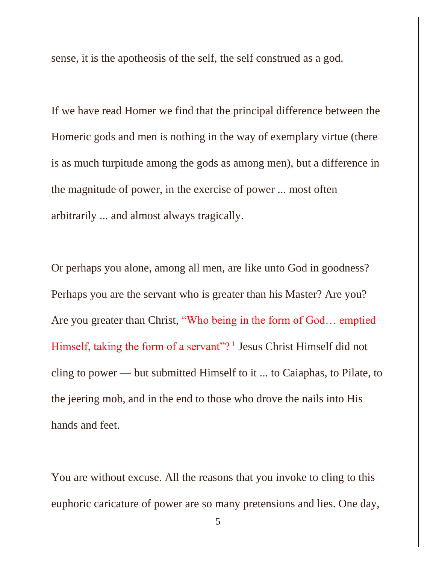sense, it is the apotheosis of the self, the self construed as a god.

If we have read Homer we find that the principal difference between the Homeric gods and men is nothing in the way of exemplary virtue (there is as much turpitude among the gods as among men), but a difference in the magnitude of power, in the exercise of power ... most often arbitrarily ... and almost always tragically.

Or perhaps you alone, among all men, are like unto God in goodness? Perhaps you are the servant who is greater than his Master? Are you? Are you greater than Christ, "Who being in the form of God… emptied Himself, taking the form of a servant"?<sup>1</sup> Jesus Christ Himself did not cling to power — but submitted Himself to it ... to Caiaphas, to Pilate, to the jeering mob, and in the end to those who drove the nails into His hands and feet.

You are without excuse. All the reasons that you invoke to cling to this euphoric caricature of power are so many pretensions and lies. One day,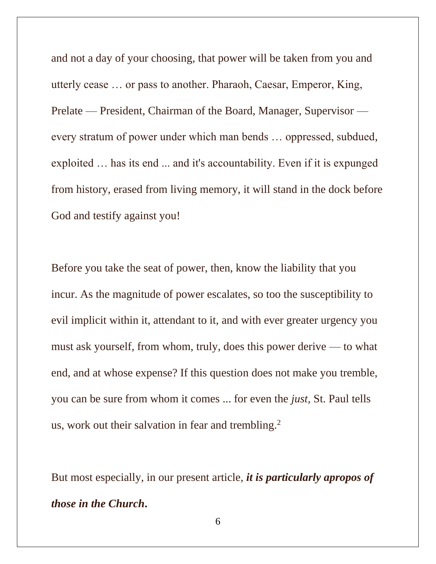and not a day of your choosing, that power will be taken from you and utterly cease … or pass to another. Pharaoh, Caesar, Emperor, King, Prelate — President, Chairman of the Board, Manager, Supervisor every stratum of power under which man bends … oppressed, subdued, exploited … has its end ... and it's accountability. Even if it is expunged from history, erased from living memory, it will stand in the dock before God and testify against you!

Before you take the seat of power, then, know the liability that you incur. As the magnitude of power escalates, so too the susceptibility to evil implicit within it, attendant to it, and with ever greater urgency you must ask yourself, from whom, truly, does this power derive — to what end, and at whose expense? If this question does not make you tremble, you can be sure from whom it comes ... for even the *just,* St. Paul tells us, work out their salvation in fear and trembling.<sup>2</sup>

But most especially, in our present article, *it is particularly apropos of those in the Church***.**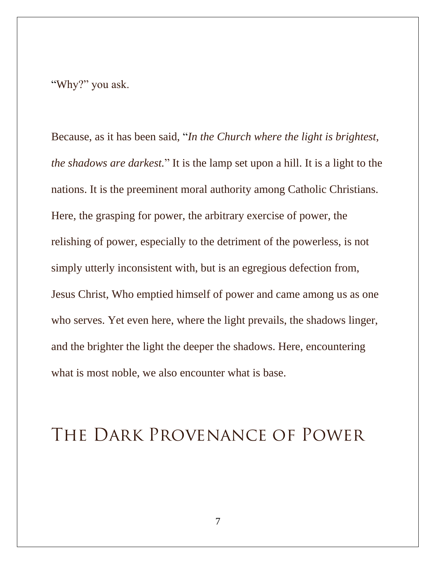"Why?" you ask.

Because, as it has been said, "*In the Church where the light is brightest, the shadows are darkest.*" It is the lamp set upon a hill. It is a light to the nations. It is the preeminent moral authority among Catholic Christians. Here, the grasping for power, the arbitrary exercise of power, the relishing of power, especially to the detriment of the powerless, is not simply utterly inconsistent with, but is an egregious defection from, Jesus Christ, Who emptied himself of power and came among us as one who serves. Yet even here, where the light prevails, the shadows linger, and the brighter the light the deeper the shadows. Here, encountering what is most noble, we also encounter what is base.

## **The Dark Provenance of Power**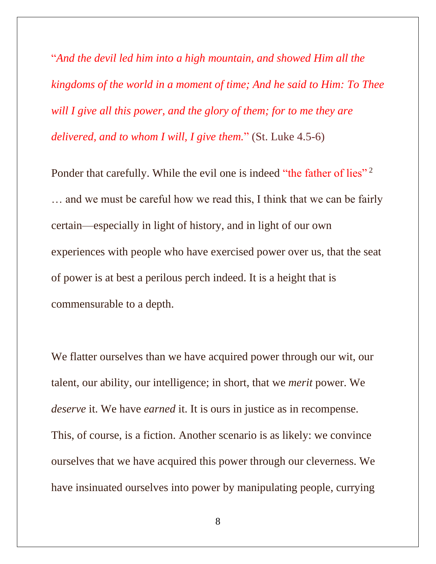"*And the devil led him into a high mountain, and showed Him all the kingdoms of the world in a moment of time; And he said to Him: To Thee will I give all this power, and the glory of them; for to me they are delivered, and to whom I will, I give them.*" (St. Luke 4.5-6)

Ponder that carefully. While the evil one is indeed "the father of lies"<sup>2</sup> … and we must be careful how we read this, I think that we can be fairly certain—especially in light of history, and in light of our own experiences with people who have exercised power over us, that the seat of power is at best a perilous perch indeed. It is a height that is commensurable to a depth.

We flatter ourselves than we have acquired power through our wit, our talent, our ability, our intelligence; in short, that we *merit* power. We *deserve* it. We have *earned* it. It is ours in justice as in recompense. This, of course, is a fiction. Another scenario is as likely: we convince ourselves that we have acquired this power through our cleverness. We have insinuated ourselves into power by manipulating people, currying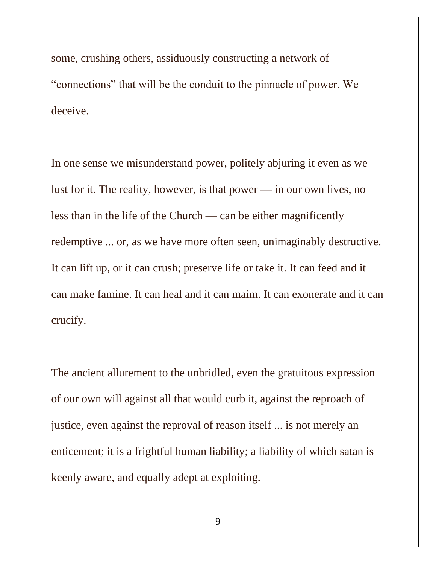some, crushing others, assiduously constructing a network of "connections" that will be the conduit to the pinnacle of power. We deceive.

In one sense we misunderstand power, politely abjuring it even as we lust for it. The reality, however, is that power — in our own lives, no less than in the life of the Church — can be either magnificently redemptive ... or, as we have more often seen, unimaginably destructive. It can lift up, or it can crush; preserve life or take it. It can feed and it can make famine. It can heal and it can maim. It can exonerate and it can crucify.

The ancient allurement to the unbridled, even the gratuitous expression of our own will against all that would curb it, against the reproach of justice, even against the reproval of reason itself ... is not merely an enticement; it is a frightful human liability; a liability of which satan is keenly aware, and equally adept at exploiting.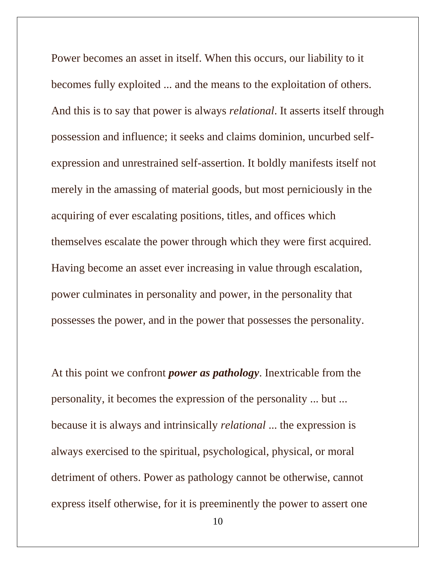Power becomes an asset in itself. When this occurs, our liability to it becomes fully exploited ... and the means to the exploitation of others. And this is to say that power is always *relational*. It asserts itself through possession and influence; it seeks and claims dominion, uncurbed selfexpression and unrestrained self-assertion. It boldly manifests itself not merely in the amassing of material goods, but most perniciously in the acquiring of ever escalating positions, titles, and offices which themselves escalate the power through which they were first acquired. Having become an asset ever increasing in value through escalation, power culminates in personality and power, in the personality that possesses the power, and in the power that possesses the personality.

At this point we confront *power as pathology*. Inextricable from the personality, it becomes the expression of the personality ... but ... because it is always and intrinsically *relational* ... the expression is always exercised to the spiritual, psychological, physical, or moral detriment of others. Power as pathology cannot be otherwise, cannot express itself otherwise, for it is preeminently the power to assert one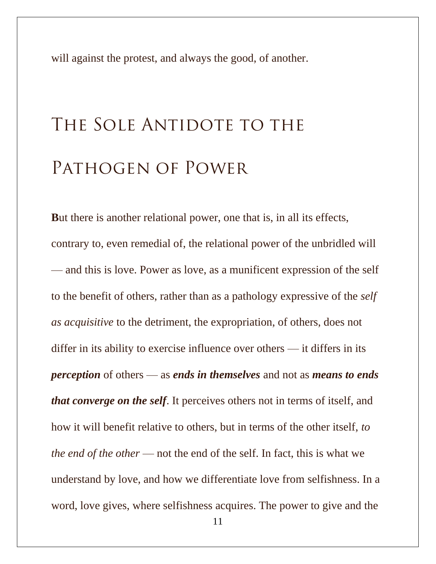will against the protest, and always the good, of another.

# THE SOLE ANTIDOTE TO THE **Pathogen of Power**

**B**ut there is another relational power, one that is, in all its effects, contrary to, even remedial of, the relational power of the unbridled will — and this is love. Power as love, as a munificent expression of the self to the benefit of others, rather than as a pathology expressive of the *self as acquisitive* to the detriment, the expropriation, of others, does not differ in its ability to exercise influence over others — it differs in its *perception* of others — as *ends in themselves* and not as *means to ends that converge on the self*. It perceives others not in terms of itself, and how it will benefit relative to others, but in terms of the other itself, *to the end of the other* — not the end of the self. In fact, this is what we understand by love, and how we differentiate love from selfishness. In a word, love gives, where selfishness acquires. The power to give and the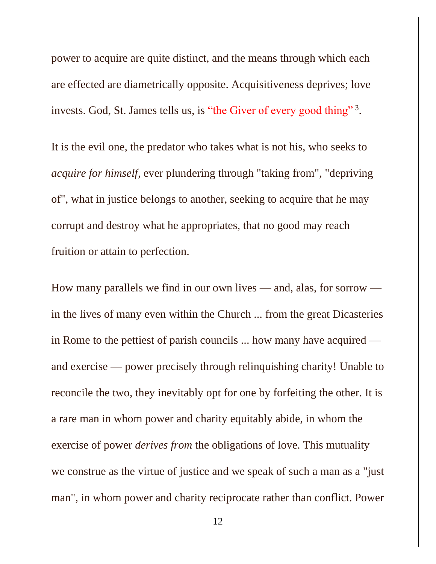power to acquire are quite distinct, and the means through which each are effected are diametrically opposite. Acquisitiveness deprives; love invests. God, St. James tells us, is "the Giver of every good thing"<sup>3</sup>.

It is the evil one, the predator who takes what is not his, who seeks to *acquire for himself*, ever plundering through "taking from", "depriving of", what in justice belongs to another, seeking to acquire that he may corrupt and destroy what he appropriates, that no good may reach fruition or attain to perfection.

How many parallels we find in our own lives — and, alas, for sorrow in the lives of many even within the Church ... from the great Dicasteries in Rome to the pettiest of parish councils ... how many have acquired and exercise — power precisely through relinquishing charity! Unable to reconcile the two, they inevitably opt for one by forfeiting the other. It is a rare man in whom power and charity equitably abide, in whom the exercise of power *derives from* the obligations of love. This mutuality we construe as the virtue of justice and we speak of such a man as a "just man", in whom power and charity reciprocate rather than conflict. Power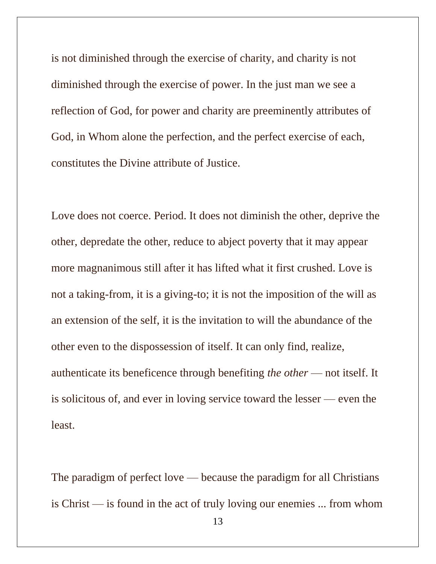is not diminished through the exercise of charity, and charity is not diminished through the exercise of power. In the just man we see a reflection of God, for power and charity are preeminently attributes of God, in Whom alone the perfection, and the perfect exercise of each, constitutes the Divine attribute of Justice.

Love does not coerce. Period. It does not diminish the other, deprive the other, depredate the other, reduce to abject poverty that it may appear more magnanimous still after it has lifted what it first crushed. Love is not a taking-from, it is a giving-to; it is not the imposition of the will as an extension of the self, it is the invitation to will the abundance of the other even to the dispossession of itself. It can only find, realize, authenticate its beneficence through benefiting *the other* — not itself. It is solicitous of, and ever in loving service toward the lesser — even the least.

The paradigm of perfect love — because the paradigm for all Christians is Christ — is found in the act of truly loving our enemies ... from whom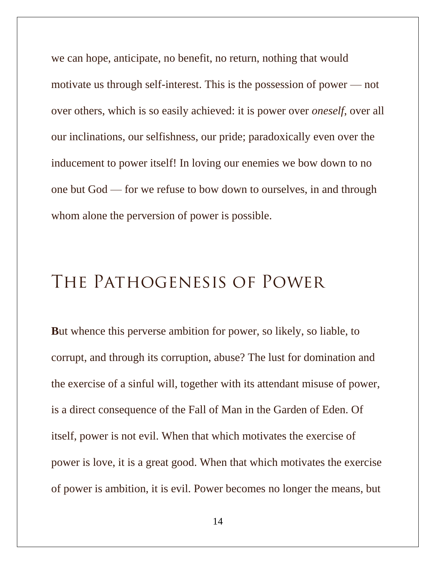we can hope, anticipate, no benefit, no return, nothing that would motivate us through self-interest. This is the possession of power — not over others, which is so easily achieved: it is power over *oneself*, over all our inclinations, our selfishness, our pride; paradoxically even over the inducement to power itself! In loving our enemies we bow down to no one but God — for we refuse to bow down to ourselves, in and through whom alone the perversion of power is possible.

### **The Pathogenesis of Power**

**B**ut whence this perverse ambition for power, so likely, so liable, to corrupt, and through its corruption, abuse? The lust for domination and the exercise of a sinful will, together with its attendant misuse of power, is a direct consequence of the Fall of Man in the Garden of Eden. Of itself, power is not evil. When that which motivates the exercise of power is love, it is a great good. When that which motivates the exercise of power is ambition, it is evil. Power becomes no longer the means, but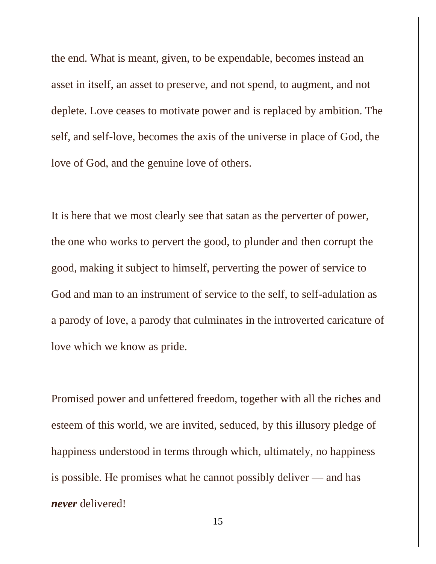the end. What is meant, given, to be expendable, becomes instead an asset in itself, an asset to preserve, and not spend, to augment, and not deplete. Love ceases to motivate power and is replaced by ambition. The self, and self-love, becomes the axis of the universe in place of God, the love of God, and the genuine love of others.

It is here that we most clearly see that satan as the perverter of power, the one who works to pervert the good, to plunder and then corrupt the good, making it subject to himself, perverting the power of service to God and man to an instrument of service to the self, to self-adulation as a parody of love, a parody that culminates in the introverted caricature of love which we know as pride.

Promised power and unfettered freedom, together with all the riches and esteem of this world, we are invited, seduced, by this illusory pledge of happiness understood in terms through which, ultimately, no happiness is possible. He promises what he cannot possibly deliver — and has *never* delivered!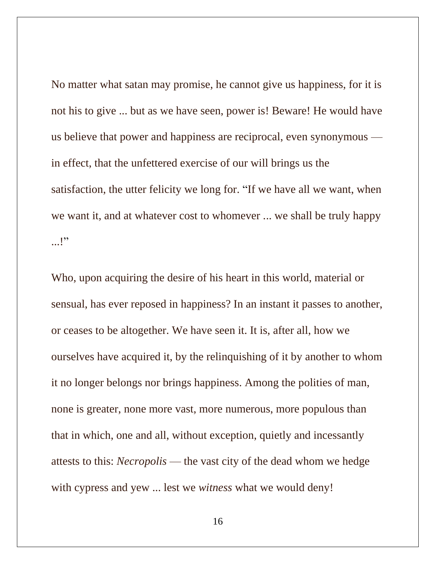No matter what satan may promise, he cannot give us happiness, for it is not his to give ... but as we have seen, power is! Beware! He would have us believe that power and happiness are reciprocal, even synonymous in effect, that the unfettered exercise of our will brings us the satisfaction, the utter felicity we long for. "If we have all we want, when we want it, and at whatever cost to whomever ... we shall be truly happy ...!"

Who, upon acquiring the desire of his heart in this world, material or sensual, has ever reposed in happiness? In an instant it passes to another, or ceases to be altogether. We have seen it. It is, after all, how we ourselves have acquired it, by the relinquishing of it by another to whom it no longer belongs nor brings happiness. Among the polities of man, none is greater, none more vast, more numerous, more populous than that in which, one and all, without exception, quietly and incessantly attests to this: *Necropolis* — the vast city of the dead whom we hedge with cypress and yew ... lest we *witness* what we would deny!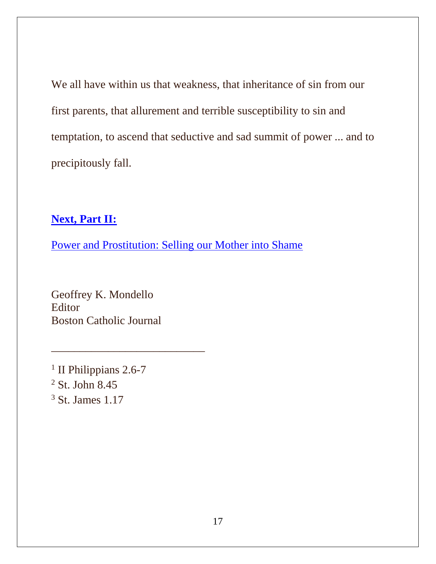We all have within us that weakness, that inheritance of sin from our first parents, that allurement and terrible susceptibility to sin and temptation, to ascend that seductive and sad summit of power ... and to precipitously fall.

### **[Next, Part](http://www.boston-catholic-journal.com/pathology-of-power-part-2-selling-our-mother-into-shame.htm) II:**

[Power and Prostitution: Selling our Mother into Shame](http://www.boston-catholic-journal.com/pathology-of-power-part-2-selling-our-mother-into-shame.htm)

Geoffrey K. Mondello Editor Boston Catholic Journal

\_\_\_\_\_\_\_\_\_\_\_\_\_\_\_\_\_\_\_\_\_\_\_\_\_\_\_

<sup>1</sup> II Philippians 2.6-7 <sup>2</sup> St. John 8.45 <sup>3</sup> St. James 1.17